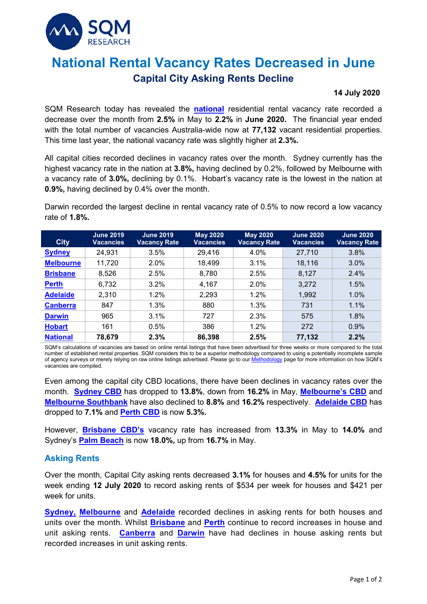

# **National Rental Vacancy Rates Decreased in June Capital City Asking Rents Decline**

#### **14 July 2020**

SQM Research today has revealed the **[national](https://sqmresearch.com.au/graph_vacancy.php?national=1&t=1)** residential rental vacancy rate recorded a decrease over the month from **2.5%** in May to **2.2%** in **June 2020.** The financial year ended with the total number of vacancies Australia-wide now at **77,132** vacant residential properties. This time last year, the national vacancy rate was slightly higher at **2.3%.**

All capital cities recorded declines in vacancy rates over the month. Sydney currently has the highest vacancy rate in the nation at **3.8%,** having declined by 0.2%, followed by Melbourne with a vacancy rate of **3.0%,** declining by 0.1%. Hobart's vacancy rate is the lowest in the nation at **0.9%,** having declined by 0.4% over the month.

Darwin recorded the largest decline in rental vacancy rate of 0.5% to now record a low vacancy rate of **1.8%.**

| <b>City</b>      | <b>June 2019</b><br><b>Vacancies</b> | <b>June 2019</b><br><b>Vacancy Rate</b> | <b>May 2020</b><br><b>Vacancies</b> | <b>May 2020</b><br><b>Vacancy Rate</b> | <b>June 2020</b><br>Vacancies | <b>June 2020</b><br><b>Vacancy Rate</b> |
|------------------|--------------------------------------|-----------------------------------------|-------------------------------------|----------------------------------------|-------------------------------|-----------------------------------------|
| <b>Sydney</b>    | 24,931                               | 3.5%                                    | 29,416                              | 4.0%                                   | 27,710                        | 3.8%                                    |
| <b>Melbourne</b> | 11,720                               | 2.0%                                    | 18,499                              | 3.1%                                   | 18,116                        | 3.0%                                    |
| <b>Brisbane</b>  | 8,526                                | 2.5%                                    | 8,780                               | 2.5%                                   | 8,127                         | 2.4%                                    |
| <b>Perth</b>     | 6,732                                | 3.2%                                    | 4,167                               | 2.0%                                   | 3,272                         | 1.5%                                    |
| <b>Adelaide</b>  | 2,310                                | 1.2%                                    | 2,293                               | 1.2%                                   | 1,992                         | 1.0%                                    |
| <b>Canberra</b>  | 847                                  | 1.3%                                    | 880                                 | 1.3%                                   | 731                           | 1.1%                                    |
| <b>Darwin</b>    | 965                                  | 3.1%                                    | 727                                 | 2.3%                                   | 575                           | 1.8%                                    |
| <b>Hobart</b>    | 161                                  | 0.5%                                    | 386                                 | 1.2%                                   | 272                           | 0.9%                                    |
| <b>National</b>  | 78,679                               | 2.3%                                    | 86,398                              | 2.5%                                   | 77,132                        | 2.2%                                    |

SQM's calculations of vacancies are based on online rental listings that have been advertised for three weeks or more compared to the total number of established rental properties. SQM considers this to be a superior methodology compared to using a potentially incomplete sample<br>of agency surveys or merely relying on raw online listings advertised. Please go to of agency surveys or merely relying on raw online listings advertised. Please go to our M vacancies are compiled.

Even among the capital city CBD locations, there have been declines in vacancy rates over the month. **[Sydney CBD](https://sqmresearch.com.au/graph_vacancy.php?postcode=2000&t=1)** has dropped to **13.8%**, down from **16.2%** in May, **[Melbourne'](https://sqmresearch.com.au/graph_vacancy.php?postcode=3000&t=1)s CBD** and **[Melbourne Southbank](https://sqmresearch.com.au/graph_vacancy.php?postcode=3006&t=1)** have also declined to **8.8%** and **16.2%** respectively. **[Adelaide CBD](https://sqmresearch.com.au/graph_vacancy.php?postcode=5000&t=1)** has dropped to **7.1%** and **[Perth](https://sqmresearch.com.au/graph_vacancy.php?postcode=6000&t=1) CBD** is now **5.3%.**

However, **[Brisbane CBD'](https://sqmresearch.com.au/graph_vacancy.php?postcode=4000&t=1)s** vacancy rate has increased from **13.3%** in May to **14.0%** and Sydney's **[Palm Beach](https://sqmresearch.com.au/graph_vacancy.php?postcode=2108&t=1)** is now **18.0%,** up from **16.7%** in May.

## **Asking Rents**

Over the month, Capital City asking rents decreased **3.1%** for houses and **4.5%** for units for the week ending **12 July 2020** to record asking rents of \$534 per week for houses and \$421 per week for units.

**[Sydney,](https://sqmresearch.com.au/weekly-rents.php?region=nsw%3A%3ASydney&type=c&t=1) [Melbourne](https://sqmresearch.com.au/weekly-rents.php?region=vic%3A%3AMelbourne&type=c&t=1)** and **[Adelaide](https://sqmresearch.com.au/weekly-rents.php?region=sa-Adelaide&type=c&t=1)** recorded declines in asking rents for both houses and units over the month. Whilst **[Brisbane](https://sqmresearch.com.au/weekly-rents.php?region=qld%3A%3ABrisbane&type=c&t=1)** and **[Perth](https://sqmresearch.com.au/weekly-rents.php?region=wa%3A%3APerth&type=c&t=1)** continue to record increases in house and unit asking rents. **[Canberra](https://sqmresearch.com.au/weekly-rents.php?region=act%3A%3ACanberra&type=c&t=1)** and **[Darwin](https://sqmresearch.com.au/weekly-rents.php?region=nt-Darwin&type=c&t=1)** have had declines in house asking rents but recorded increases in unit asking rents.